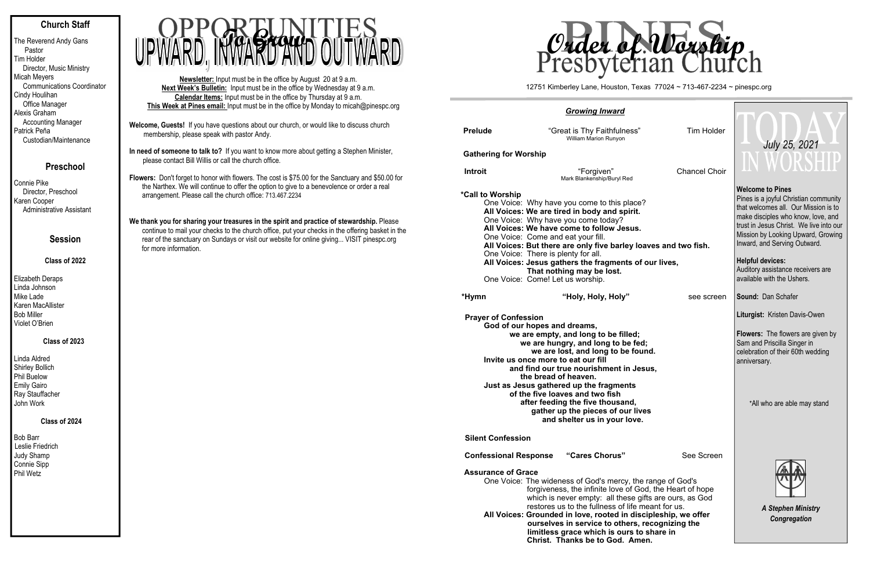# **Church Staff**

| The Reverend Andy Gans<br>Pastor  |
|-----------------------------------|
| Tim Holder                        |
| Director, Music Ministry          |
| <b>Micah Meyers</b>               |
| <b>Communications Coordinator</b> |
| Cindy Houlihan                    |
| Office Manager                    |
| Alexis Graham                     |
| <b>Accounting Manager</b>         |
| Patrick Peña                      |
| Custodian/Maintenance             |

# **Preschool**

Connie Pike Director, Preschool Karen Cooper Administrative Assistant

# **Session**

#### **Class of 2022**

| Elizabeth Deraps  |
|-------------------|
| Linda Johnson     |
| Mike Lade         |
| Karen MacAllister |
| Bob Miller        |
| Violet O'Brien    |

## **Class of 2023**

| Linda Aldred           |
|------------------------|
| <b>Shirley Bollich</b> |
| <b>Phil Buelow</b>     |
| <b>Emily Gairo</b>     |
| Ray Stauffacher        |
| John Work              |

#### **Class of 2024**

Bob Barr Leslie Friedrich Judy Shamp Connie Sipp Phil Wetz

- **Welcome, Guests!** If you have questions about our church, or would like to discuss church membership, please speak with pastor Andy.
- **In need of someone to talk to?** If you want to know more about getting a Stephen Minister, please contact Bill Willis or call the church office.
- **Flowers:** Don't forget to honor with flowers. The cost is \$75.00 for the Sanctuary and \$50.00 for the Narthex. We will continue to offer the option to give to a benevolence or order a real arrangement. Please call the church office: 713.467.2234
- We thank you for sharing your treasures in the spirit and practice of stewardship. Please continue to mail your checks to the church office, put your checks in the offering basket in the rear of the sanctuary on Sundays or visit our website for online giving... VISIT pinespc.org for more information.

- One Voice: The wideness of God's mercy, the range of God's forgiveness, the infinite love of Go which is never empty: all these  $g$ restores us to the fullness of life **All Voices: Grounded in love, rooted in dis** 
	- ourselves in service to others, **limitless grace which is ours to Christ. Thanks be to God. Am**

**Newsletter:** Input must be in the office by August 20 at 9 a.m. **Next Week's Bulletin:** Input must be in the office by Wednesday at 9 a.m. **Calendar Items:** Input must be in the office by Thursday at 9 a.m. **This Week at Pines email:** Input must be in the office by Monday to micah@pinespc.org



#### *Growing Inward*

| <b>Prelude</b>                                                                                                                                                                                                                                                                                                                                                                                                                                                                |  | "Great is Thy Faithfulness"<br>William Marion Runyon                                                                                                                                                                                                                                                                                                                                                              | Tim Holder |                      |  |  |
|-------------------------------------------------------------------------------------------------------------------------------------------------------------------------------------------------------------------------------------------------------------------------------------------------------------------------------------------------------------------------------------------------------------------------------------------------------------------------------|--|-------------------------------------------------------------------------------------------------------------------------------------------------------------------------------------------------------------------------------------------------------------------------------------------------------------------------------------------------------------------------------------------------------------------|------------|----------------------|--|--|
| <b>Gathering for Worship</b>                                                                                                                                                                                                                                                                                                                                                                                                                                                  |  |                                                                                                                                                                                                                                                                                                                                                                                                                   |            |                      |  |  |
| <b>Introit</b>                                                                                                                                                                                                                                                                                                                                                                                                                                                                |  | "Forgiven"<br>Mark Blankenship/Buryl Red                                                                                                                                                                                                                                                                                                                                                                          |            | <b>Chancel Choir</b> |  |  |
| *Call to Worship<br>One Voice: Why have you come to this place?<br>All Voices: We are tired in body and spirit.<br>One Voice: Why have you come today?<br>All Voices: We have come to follow Jesus.<br>One Voice: Come and eat your fill.<br>All Voices: But there are only five barley loaves and two fish.<br>One Voice: There is plenty for all.<br>All Voices: Jesus gathers the fragments of our lives,<br>That nothing may be lost.<br>One Voice: Come! Let us worship. |  |                                                                                                                                                                                                                                                                                                                                                                                                                   |            |                      |  |  |
| *Hymn                                                                                                                                                                                                                                                                                                                                                                                                                                                                         |  | "Holy, Holy, Holy"                                                                                                                                                                                                                                                                                                                                                                                                |            | see screen           |  |  |
| <b>Prayer of Confession</b><br>God of our hopes and dreams,                                                                                                                                                                                                                                                                                                                                                                                                                   |  | we are empty, and long to be filled;<br>we are hungry, and long to be fed;<br>we are lost, and long to be found.<br>Invite us once more to eat our fill<br>and find our true nourishment in Jesus,<br>the bread of heaven.<br>Just as Jesus gathered up the fragments<br>of the five loaves and two fish<br>after feeding the five thousand,<br>gather up the pieces of our lives<br>and shelter us in your love. |            |                      |  |  |
| <b>Silent Confession</b>                                                                                                                                                                                                                                                                                                                                                                                                                                                      |  |                                                                                                                                                                                                                                                                                                                                                                                                                   |            |                      |  |  |
| <b>Confessional Response</b>                                                                                                                                                                                                                                                                                                                                                                                                                                                  |  | "Cares Chorus"                                                                                                                                                                                                                                                                                                                                                                                                    |            | See Screen           |  |  |

#### **Assurance of Grace**

| <b>Tim Holder</b><br><b>Chancel Choir</b>                                                                                                             | July 25, 2021<br>N WORSHIP                                                                                                                                     |  |  |  |
|-------------------------------------------------------------------------------------------------------------------------------------------------------|----------------------------------------------------------------------------------------------------------------------------------------------------------------|--|--|--|
|                                                                                                                                                       | <b>Welcome to Pines</b>                                                                                                                                        |  |  |  |
| ?ڊ                                                                                                                                                    | Pines is a joyful Christian community<br>that welcomes all. Our Mission is to<br>make disciples who know, love, and<br>trust in Jesus Christ. We live into our |  |  |  |
| paves and two fish.                                                                                                                                   | Mission by Looking Upward, Growing<br>Inward, and Serving Outward.                                                                                             |  |  |  |
| f our lives,                                                                                                                                          | <b>Helpful devices:</b><br>Auditory assistance receivers are<br>available with the Ushers.                                                                     |  |  |  |
| see screen                                                                                                                                            | <b>Sound: Dan Schafer</b>                                                                                                                                      |  |  |  |
|                                                                                                                                                       | Liturgist: Kristen Davis-Owen                                                                                                                                  |  |  |  |
| d;<br>und.<br>sus,                                                                                                                                    | <b>Flowers:</b> The flowers are given by<br>Sam and Priscilla Singer in<br>celebration of their 60th wedding<br>anniversary.                                   |  |  |  |
| ves                                                                                                                                                   | *All who are able may stand                                                                                                                                    |  |  |  |
| See Screen                                                                                                                                            |                                                                                                                                                                |  |  |  |
| e range of God's<br>od, the Heart of hope<br>gifts are ours, as God<br>meant for us.<br>scipleship, we offer<br>recognizing the<br>o share in<br>ien. | <b>A Stephen Ministry</b><br>Congregation                                                                                                                      |  |  |  |



12751 Kimberley Lane, Houston, Texas 77024 ~ 713-467-2234 ~ pinespc.org